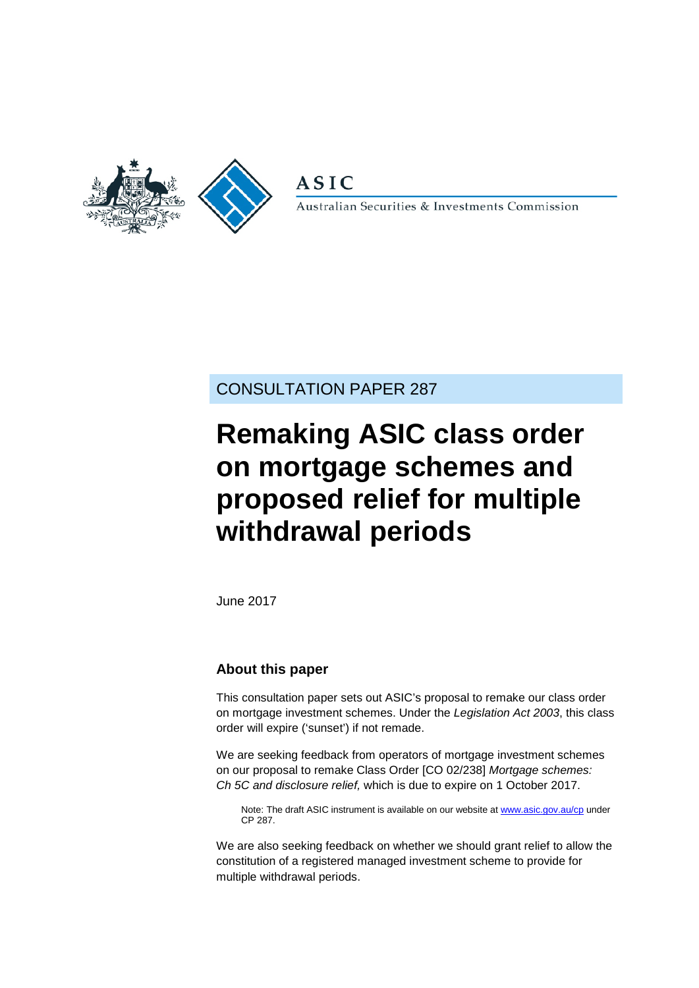

**ASIC** 

Australian Securities & Investments Commission

CONSULTATION PAPER 287

# **Remaking ASIC class order on mortgage schemes and proposed relief for multiple withdrawal periods**

June 2017

### **About this paper**

This consultation paper sets out ASIC's proposal to remake our class order on mortgage investment schemes. Under the *Legislation Act 2003*, this class order will expire ('sunset') if not remade.

We are seeking feedback from operators of mortgage investment schemes on our proposal to remake Class Order [CO 02/238] *Mortgage schemes: Ch 5C and disclosure relief,* which is due to expire on 1 October 2017.

Note: The draft ASIC instrument is available on our website a[t www.asic.gov.au/cp](http://www.asic.gov.au/regulatory-resources/find-a-document/consultation-papers/) under CP 287.

We are also seeking feedback on whether we should grant relief to allow the constitution of a registered managed investment scheme to provide for multiple withdrawal periods.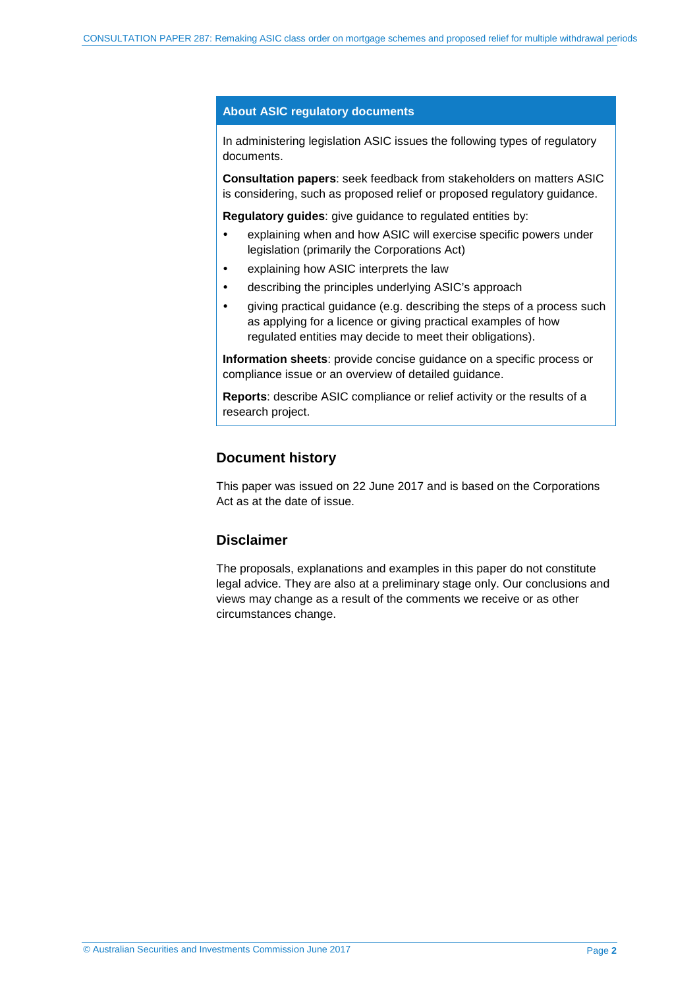#### **About ASIC regulatory documents**

In administering legislation ASIC issues the following types of regulatory documents.

**Consultation papers**: seek feedback from stakeholders on matters ASIC is considering, such as proposed relief or proposed regulatory guidance.

**Regulatory guides**: give guidance to regulated entities by:

- explaining when and how ASIC will exercise specific powers under legislation (primarily the Corporations Act)
- explaining how ASIC interprets the law
- describing the principles underlying ASIC's approach
- giving practical guidance (e.g. describing the steps of a process such as applying for a licence or giving practical examples of how regulated entities may decide to meet their obligations).

**Information sheets**: provide concise guidance on a specific process or compliance issue or an overview of detailed guidance.

**Reports**: describe ASIC compliance or relief activity or the results of a research project.

#### **Document history**

This paper was issued on 22 June 2017 and is based on the Corporations Act as at the date of issue.

#### **Disclaimer**

The proposals, explanations and examples in this paper do not constitute legal advice. They are also at a preliminary stage only. Our conclusions and views may change as a result of the comments we receive or as other circumstances change.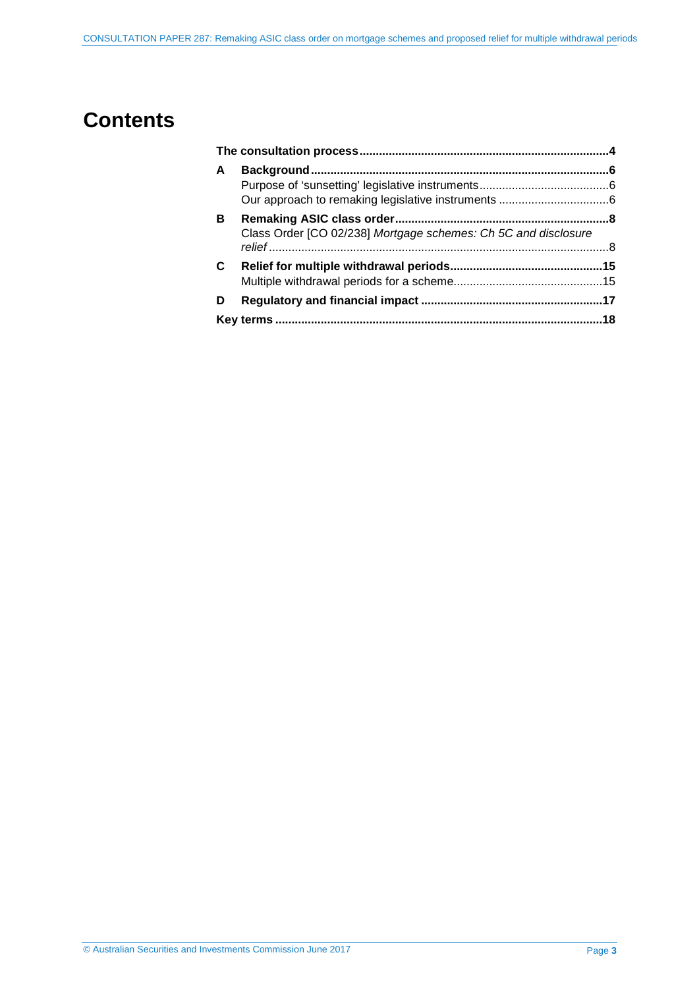## **Contents**

| A |                                                                |  |
|---|----------------------------------------------------------------|--|
|   |                                                                |  |
| в | Class Order [CO 02/238] Mortgage schemes: Ch 5C and disclosure |  |
| C |                                                                |  |
|   |                                                                |  |
| D |                                                                |  |
|   |                                                                |  |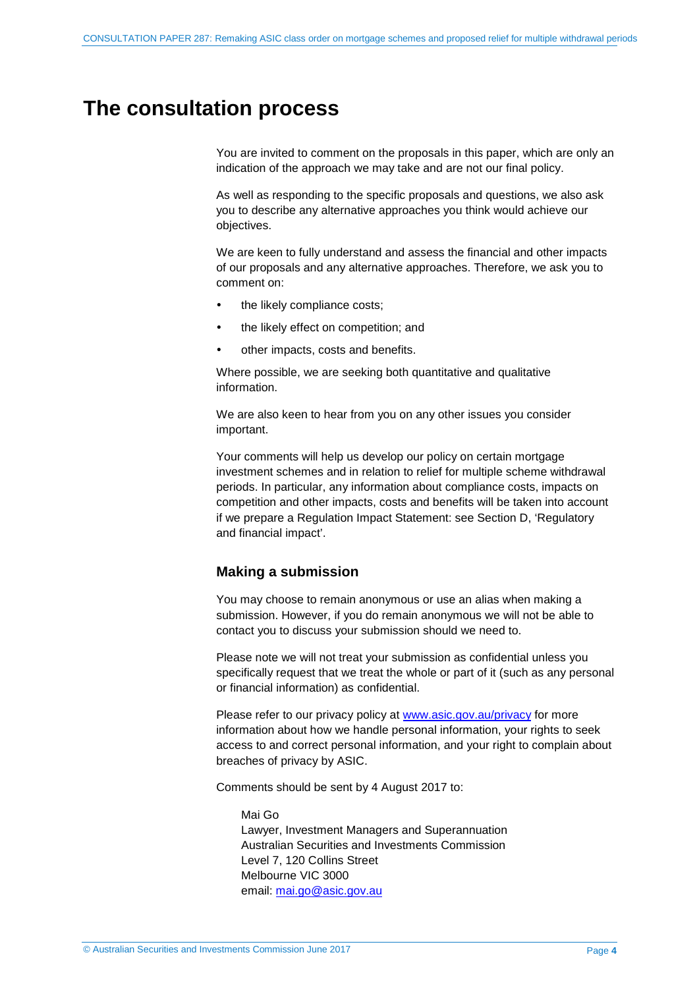## <span id="page-3-0"></span>**The consultation process**

You are invited to comment on the proposals in this paper, which are only an indication of the approach we may take and are not our final policy.

As well as responding to the specific proposals and questions, we also ask you to describe any alternative approaches you think would achieve our objectives.

We are keen to fully understand and assess the financial and other impacts of our proposals and any alternative approaches. Therefore, we ask you to comment on:

- the likely compliance costs;
- the likely effect on competition; and
- other impacts, costs and benefits.

Where possible, we are seeking both quantitative and qualitative information.

We are also keen to hear from you on any other issues you consider important.

Your comments will help us develop our policy on certain mortgage investment schemes and in relation to relief for multiple scheme withdrawal periods. In particular, any information about compliance costs, impacts on competition and other impacts, costs and benefits will be taken into account if we prepare a Regulation Impact Statement: see Section [D,](#page-16-0) 'Regulatory and financial impact'.

#### **Making a submission**

You may choose to remain anonymous or use an alias when making a submission. However, if you do remain anonymous we will not be able to contact you to discuss your submission should we need to.

Please note we will not treat your submission as confidential unless you specifically request that we treat the whole or part of it (such as any personal or financial information) as confidential.

Please refer to our privacy policy at [www.asic.gov.au/privacy](http://www.asic.gov.au/privacy) for more information about how we handle personal information, your rights to seek access to and correct personal information, and your right to complain about breaches of privacy by ASIC.

Comments should be sent by 4 August 2017 to:

Mai Go Lawyer, Investment Managers and Superannuation Australian Securities and Investments Commission Level 7, 120 Collins Street Melbourne VIC 3000 email: [mai.go@asic.gov.au](mailto:mai.go@asic.gov.au)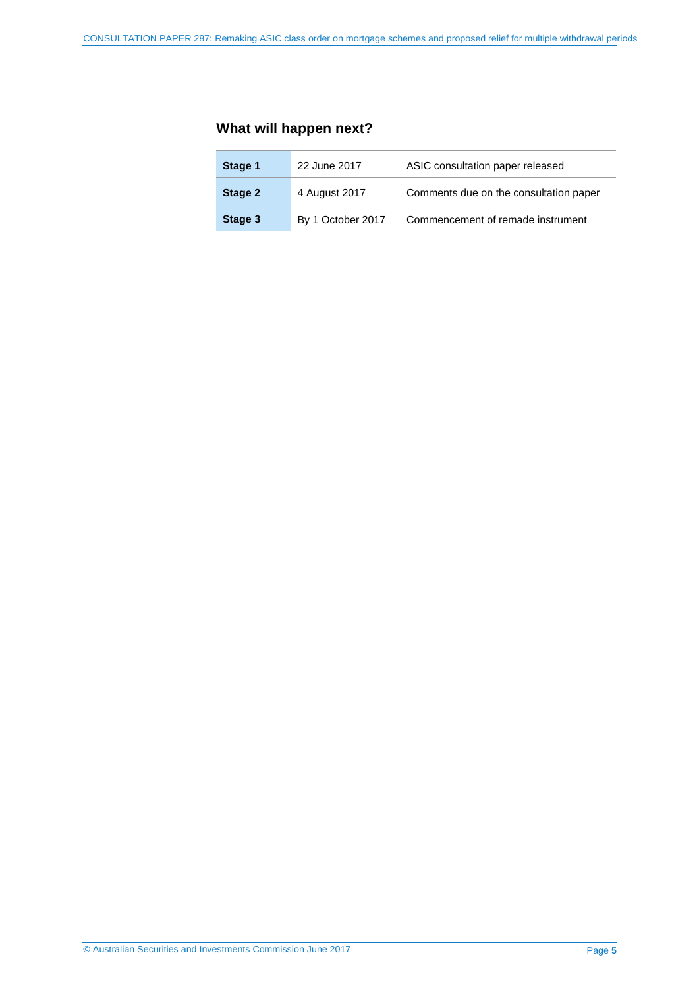### **What will happen next?**

| Stage 1 | 22 June 2017      | ASIC consultation paper released       |
|---------|-------------------|----------------------------------------|
| Stage 2 | 4 August 2017     | Comments due on the consultation paper |
| Stage 3 | By 1 October 2017 | Commencement of remade instrument      |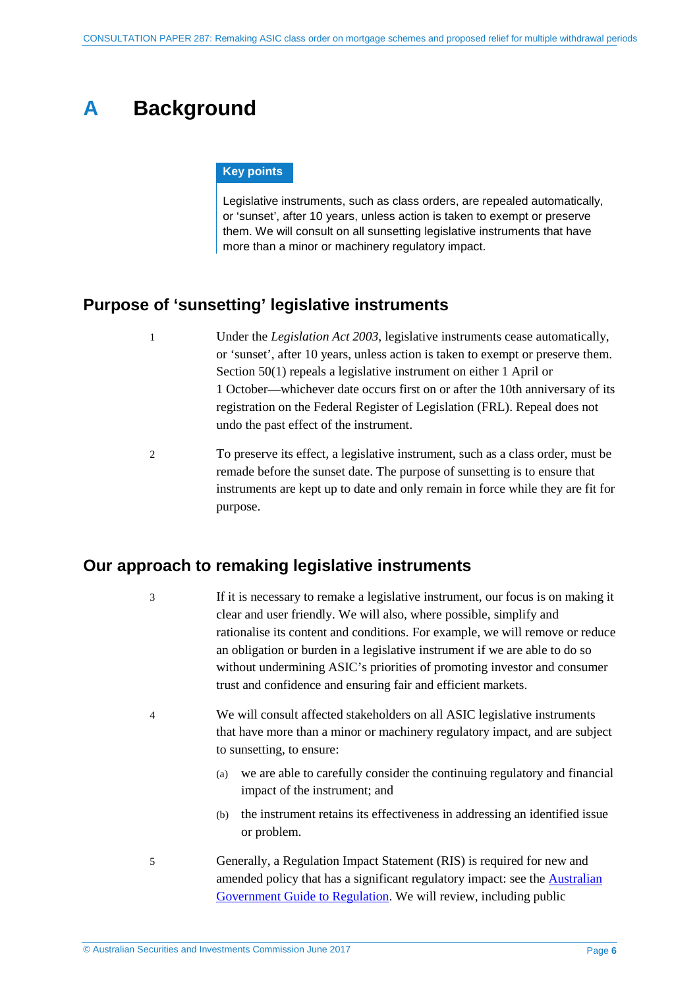## <span id="page-5-0"></span>**A Background**

#### **Key points**

Legislative instruments, such as class orders, are repealed automatically, or 'sunset', after 10 years, unless action is taken to exempt or preserve them. We will consult on all sunsetting legislative instruments that have more than a minor or machinery regulatory impact.

### <span id="page-5-1"></span>**Purpose of 'sunsetting' legislative instruments**

- 1 Under the *Legislation Act 2003*, legislative instruments cease automatically, or 'sunset', after 10 years, unless action is taken to exempt or preserve them. Section 50(1) repeals a legislative instrument on either 1 April or 1 October—whichever date occurs first on or after the 10th anniversary of its registration on the Federal Register of Legislation (FRL). Repeal does not undo the past effect of the instrument.
- 2 To preserve its effect, a legislative instrument, such as a class order, must be remade before the sunset date. The purpose of sunsetting is to ensure that instruments are kept up to date and only remain in force while they are fit for purpose.

### <span id="page-5-2"></span>**Our approach to remaking legislative instruments**

3 If it is necessary to remake a legislative instrument, our focus is on making it clear and user friendly. We will also, where possible, simplify and rationalise its content and conditions. For example, we will remove or reduce an obligation or burden in a legislative instrument if we are able to do so without undermining ASIC's priorities of promoting investor and consumer trust and confidence and ensuring fair and efficient markets.

- 4 We will consult affected stakeholders on all ASIC legislative instruments that have more than a minor or machinery regulatory impact, and are subject to sunsetting, to ensure:
	- (a) we are able to carefully consider the continuing regulatory and financial impact of the instrument; and
	- (b) the instrument retains its effectiveness in addressing an identified issue or problem.
- 5 Generally, a Regulation Impact Statement (RIS) is required for new and amended policy that has a significant regulatory impact: see the **Australian** [Government Guide to Regulation.](https://www.cuttingredtape.gov.au/handbook/australian-government-guide-regulation) We will review, including public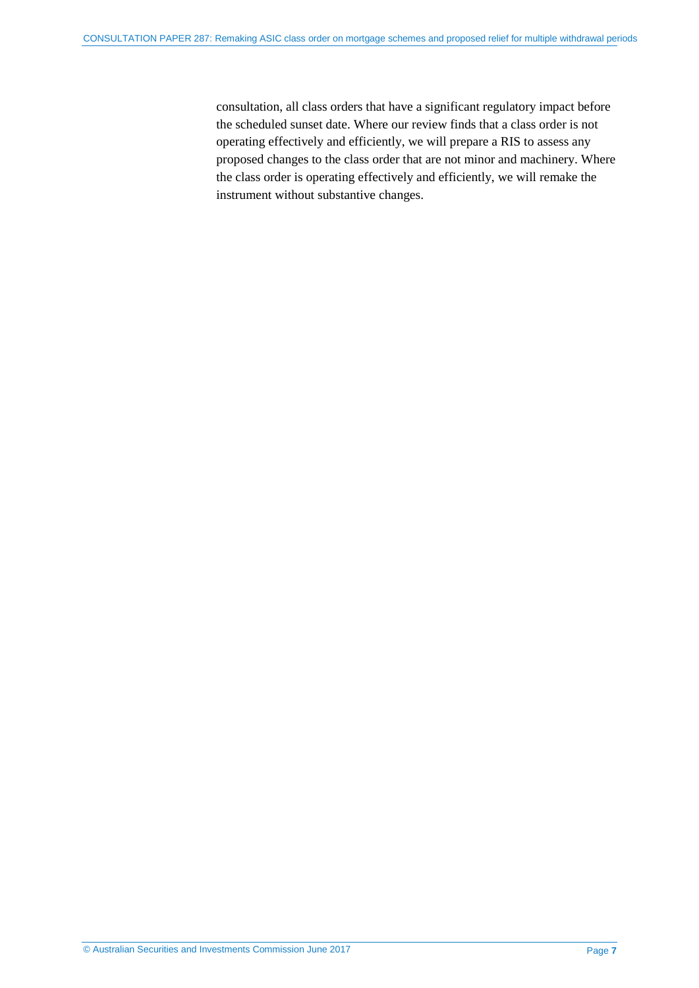consultation, all class orders that have a significant regulatory impact before the scheduled sunset date. Where our review finds that a class order is not operating effectively and efficiently, we will prepare a RIS to assess any proposed changes to the class order that are not minor and machinery. Where the class order is operating effectively and efficiently, we will remake the instrument without substantive changes.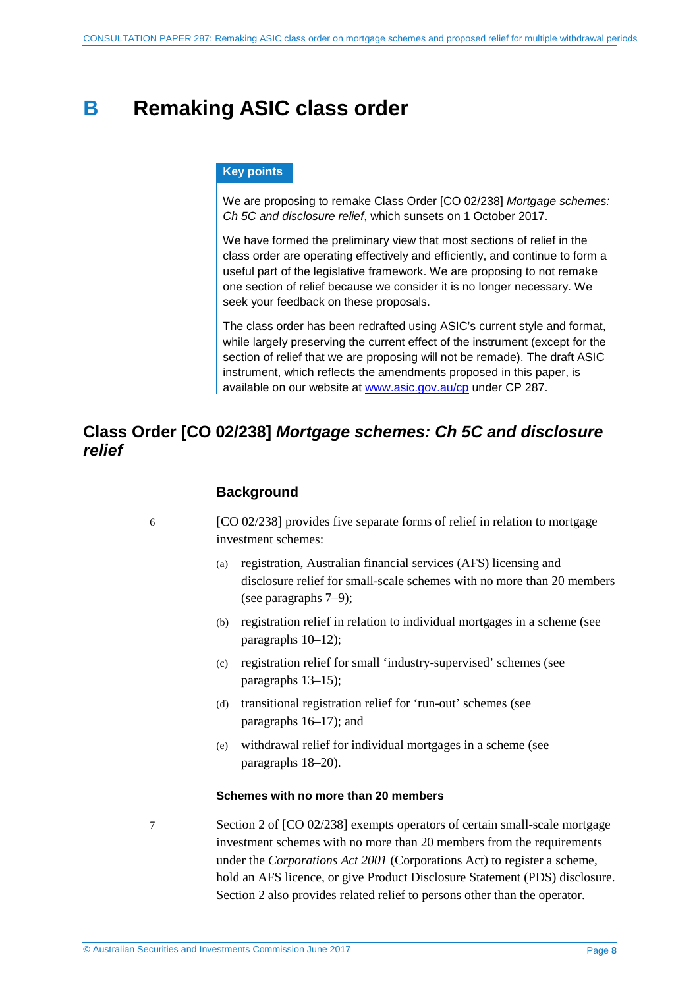## <span id="page-7-0"></span>**B Remaking ASIC class order**

#### **Key points**

We are proposing to remake Class Order [CO 02/238] *Mortgage schemes: Ch 5C and disclosure relief*, which sunsets on 1 October 2017.

We have formed the preliminary view that most sections of relief in the class order are operating effectively and efficiently, and continue to form a useful part of the legislative framework. We are proposing to not remake one section of relief because we consider it is no longer necessary. We seek your feedback on these proposals.

The class order has been redrafted using ASIC's current style and format, while largely preserving the current effect of the instrument (except for the section of relief that we are proposing will not be remade). The draft ASIC instrument, which reflects the amendments proposed in this paper, is available on our website at [www.asic.gov.au/cp](http://www.asic.gov.au/regulatory-resources/find-a-document/consultation-papers/) under CP 287.

### <span id="page-7-1"></span>**Class Order [CO 02/238]** *Mortgage schemes: Ch 5C and disclosure relief*

#### **Background**

6 [CO 02/238] provides five separate forms of relief in relation to mortgage investment schemes:

- (a) registration, Australian financial services (AFS) licensing and disclosure relief for small-scale schemes with no more than 20 members (see paragraphs [7–](#page-7-2)[9\)](#page-8-0);
- (b) registration relief in relation to individual mortgages in a scheme (see paragraphs [10–](#page-8-1)[12\)](#page-8-2);
- (c) registration relief for small 'industry-supervised' schemes (see paragraphs [13–](#page-8-3)[15\)](#page-9-0);
- (d) transitional registration relief for 'run-out' schemes (see paragraphs [16–](#page-9-1)[17\)](#page-9-2); and
- (e) withdrawal relief for individual mortgages in a scheme (see paragraphs [18–](#page-9-3)[20\)](#page-10-0).

#### **Schemes with no more than 20 members**

<span id="page-7-2"></span>

7 Section 2 of [CO 02/238] exempts operators of certain small-scale mortgage investment schemes with no more than 20 members from the requirements under the *Corporations Act 2001* (Corporations Act) to register a scheme, hold an AFS licence, or give Product Disclosure Statement (PDS) disclosure. Section 2 also provides related relief to persons other than the operator.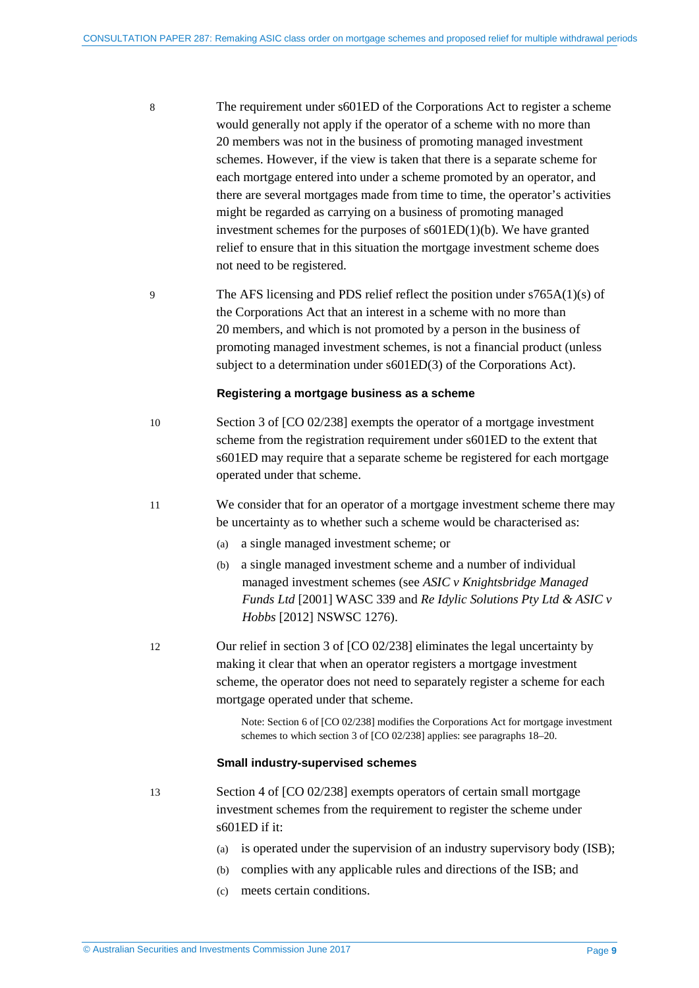- 8 The requirement under s601ED of the Corporations Act to register a scheme would generally not apply if the operator of a scheme with no more than 20 members was not in the business of promoting managed investment schemes. However, if the view is taken that there is a separate scheme for each mortgage entered into under a scheme promoted by an operator, and there are several mortgages made from time to time, the operator's activities might be regarded as carrying on a business of promoting managed investment schemes for the purposes of s601ED(1)(b). We have granted relief to ensure that in this situation the mortgage investment scheme does not need to be registered.
- <span id="page-8-0"></span>9 The AFS licensing and PDS relief reflect the position under s765A(1)(s) of the Corporations Act that an interest in a scheme with no more than 20 members, and which is not promoted by a person in the business of promoting managed investment schemes, is not a financial product (unless subject to a determination under s601ED(3) of the Corporations Act).

#### **Registering a mortgage business as a scheme**

- <span id="page-8-1"></span>10 Section 3 of [CO 02/238] exempts the operator of a mortgage investment scheme from the registration requirement under s601ED to the extent that s601ED may require that a separate scheme be registered for each mortgage operated under that scheme.
- 11 We consider that for an operator of a mortgage investment scheme there may be uncertainty as to whether such a scheme would be characterised as:
	- (a) a single managed investment scheme; or
	- (b) a single managed investment scheme and a number of individual managed investment schemes (see *ASIC v Knightsbridge Managed Funds Ltd* [2001] WASC 339 and *Re Idylic Solutions Pty Ltd & ASIC v Hobbs* [2012] NSWSC 1276).
- <span id="page-8-2"></span>12 Our relief in section 3 of [CO 02/238] eliminates the legal uncertainty by making it clear that when an operator registers a mortgage investment scheme, the operator does not need to separately register a scheme for each mortgage operated under that scheme.

Note: Section 6 of [CO 02/238] modifies the Corporations Act for mortgage investment schemes to which section 3 of [CO 02/238] applies: see paragraph[s 18](#page-9-3)[–20.](#page-10-0)

#### **Small industry-supervised schemes**

- <span id="page-8-3"></span>13 Section 4 of [CO 02/238] exempts operators of certain small mortgage investment schemes from the requirement to register the scheme under s601ED if it:
	- (a) is operated under the supervision of an industry supervisory body (ISB);
	- (b) complies with any applicable rules and directions of the ISB; and
	- (c) meets certain conditions.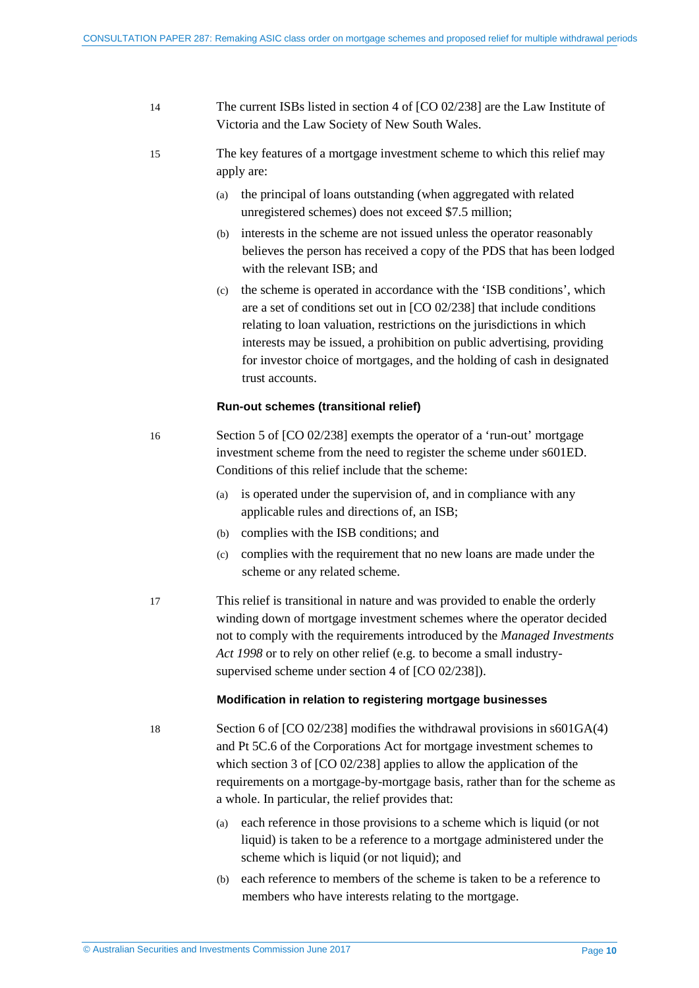| 14 | The current ISBs listed in section 4 of $[CO 02/238]$ are the Law Institute of |
|----|--------------------------------------------------------------------------------|
|    | Victoria and the Law Society of New South Wales.                               |

- <span id="page-9-0"></span>15 The key features of a mortgage investment scheme to which this relief may apply are:
	- (a) the principal of loans outstanding (when aggregated with related unregistered schemes) does not exceed \$7.5 million;
	- (b) interests in the scheme are not issued unless the operator reasonably believes the person has received a copy of the PDS that has been lodged with the relevant ISB; and
	- (c) the scheme is operated in accordance with the 'ISB conditions', which are a set of conditions set out in [CO 02/238] that include conditions relating to loan valuation, restrictions on the jurisdictions in which interests may be issued, a prohibition on public advertising, providing for investor choice of mortgages, and the holding of cash in designated trust accounts.

#### **Run-out schemes (transitional relief)**

- <span id="page-9-1"></span>16 Section 5 of [CO 02/238] exempts the operator of a 'run-out' mortgage investment scheme from the need to register the scheme under s601ED. Conditions of this relief include that the scheme:
	- (a) is operated under the supervision of, and in compliance with any applicable rules and directions of, an ISB;
	- (b) complies with the ISB conditions; and
	- (c) complies with the requirement that no new loans are made under the scheme or any related scheme.
- <span id="page-9-2"></span>17 This relief is transitional in nature and was provided to enable the orderly winding down of mortgage investment schemes where the operator decided not to comply with the requirements introduced by the *Managed Investments Act 1998* or to rely on other relief (e.g. to become a small industrysupervised scheme under section 4 of [CO 02/238]).

#### **Modification in relation to registering mortgage businesses**

- <span id="page-9-3"></span>18 Section 6 of [CO 02/238] modifies the withdrawal provisions in s601GA(4) and Pt 5C.6 of the Corporations Act for mortgage investment schemes to which section 3 of [CO 02/238] applies to allow the application of the requirements on a mortgage-by-mortgage basis, rather than for the scheme as a whole. In particular, the relief provides that:
	- (a) each reference in those provisions to a scheme which is liquid (or not liquid) is taken to be a reference to a mortgage administered under the scheme which is liquid (or not liquid); and
	- (b) each reference to members of the scheme is taken to be a reference to members who have interests relating to the mortgage.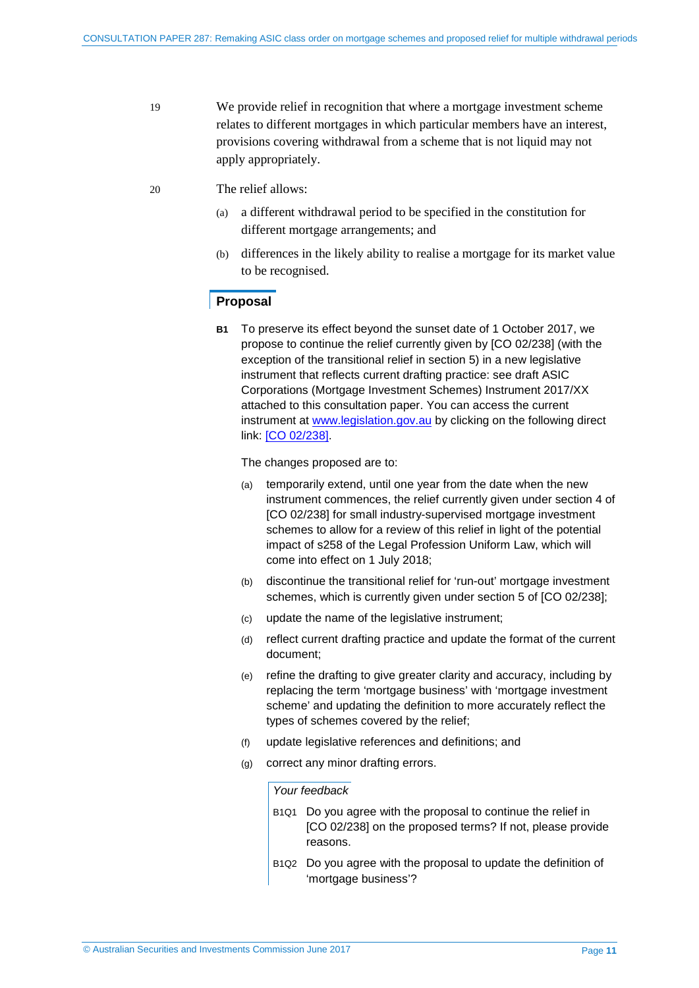- 19 We provide relief in recognition that where a mortgage investment scheme relates to different mortgages in which particular members have an interest, provisions covering withdrawal from a scheme that is not liquid may not apply appropriately.
- <span id="page-10-0"></span>20 The relief allows:
	- (a) a different withdrawal period to be specified in the constitution for different mortgage arrangements; and
	- (b) differences in the likely ability to realise a mortgage for its market value to be recognised.

#### **Proposal**

**B1** To preserve its effect beyond the sunset date of 1 October 2017, we propose to continue the relief currently given by [CO 02/238] (with the exception of the transitional relief in section 5) in a new legislative instrument that reflects current drafting practice: see draft ASIC Corporations (Mortgage Investment Schemes) Instrument 2017/XX attached to this consultation paper. You can access the current instrument at [www.legislation.gov.au](http://www.legislation.gov.au/) by clicking on the following direct link: [CO [02/238\].](https://www.legislation.gov.au/Details/F2007B01018)

The changes proposed are to:

- (a) temporarily extend, until one year from the date when the new instrument commences, the relief currently given under section 4 of [CO 02/238] for small industry-supervised mortgage investment schemes to allow for a review of this relief in light of the potential impact of s258 of the Legal Profession Uniform Law, which will come into effect on 1 July 2018;
- (b) discontinue the transitional relief for 'run-out' mortgage investment schemes, which is currently given under section 5 of [CO 02/238];
- (c) update the name of the legislative instrument;
- (d) reflect current drafting practice and update the format of the current document;
- (e) refine the drafting to give greater clarity and accuracy, including by replacing the term 'mortgage business' with 'mortgage investment scheme' and updating the definition to more accurately reflect the types of schemes covered by the relief;
- (f) update legislative references and definitions; and
- (g) correct any minor drafting errors.

#### *Your feedback*

- B1Q1 Do you agree with the proposal to continue the relief in [CO 02/238] on the proposed terms? If not, please provide reasons.
- B1Q2 Do you agree with the proposal to update the definition of 'mortgage business'?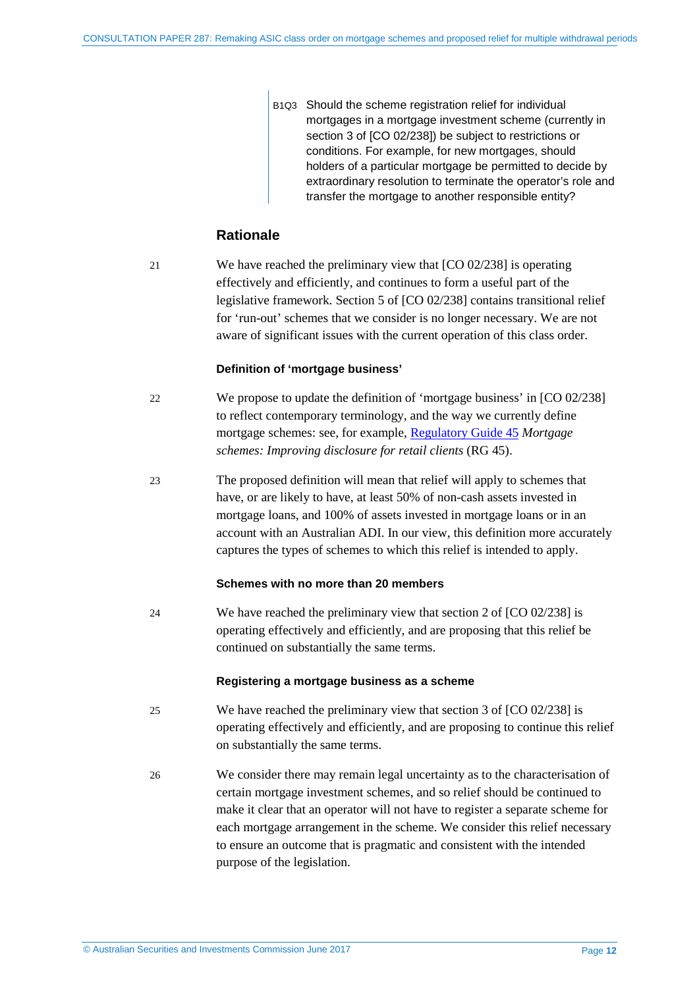B1Q3 Should the scheme registration relief for individual mortgages in a mortgage investment scheme (currently in section 3 of [CO 02/238]) be subject to restrictions or conditions. For example, for new mortgages, should holders of a particular mortgage be permitted to decide by extraordinary resolution to terminate the operator's role and transfer the mortgage to another responsible entity?

### **Rationale**

21 We have reached the preliminary view that [CO 02/238] is operating effectively and efficiently, and continues to form a useful part of the legislative framework. Section 5 of [CO 02/238] contains transitional relief for 'run-out' schemes that we consider is no longer necessary. We are not aware of significant issues with the current operation of this class order.

#### **Definition of 'mortgage business'**

- 22 We propose to update the definition of 'mortgage business' in [CO 02/238] to reflect contemporary terminology, and the way we currently define mortgage schemes: see, for example, [Regulatory Guide 45](http://asic.gov.au/regulatory-resources/find-a-document/regulatory-guides/) *Mortgage schemes: Improving disclosure for retail clients* (RG 45).
- 23 The proposed definition will mean that relief will apply to schemes that have, or are likely to have, at least 50% of non-cash assets invested in mortgage loans, and 100% of assets invested in mortgage loans or in an account with an Australian ADI. In our view, this definition more accurately captures the types of schemes to which this relief is intended to apply.

#### **Schemes with no more than 20 members**

24 We have reached the preliminary view that section 2 of [CO 02/238] is operating effectively and efficiently, and are proposing that this relief be continued on substantially the same terms.

#### **Registering a mortgage business as a scheme**

- 25 We have reached the preliminary view that section 3 of [CO 02/238] is operating effectively and efficiently, and are proposing to continue this relief on substantially the same terms.
- 26 We consider there may remain legal uncertainty as to the characterisation of certain mortgage investment schemes, and so relief should be continued to make it clear that an operator will not have to register a separate scheme for each mortgage arrangement in the scheme. We consider this relief necessary to ensure an outcome that is pragmatic and consistent with the intended purpose of the legislation.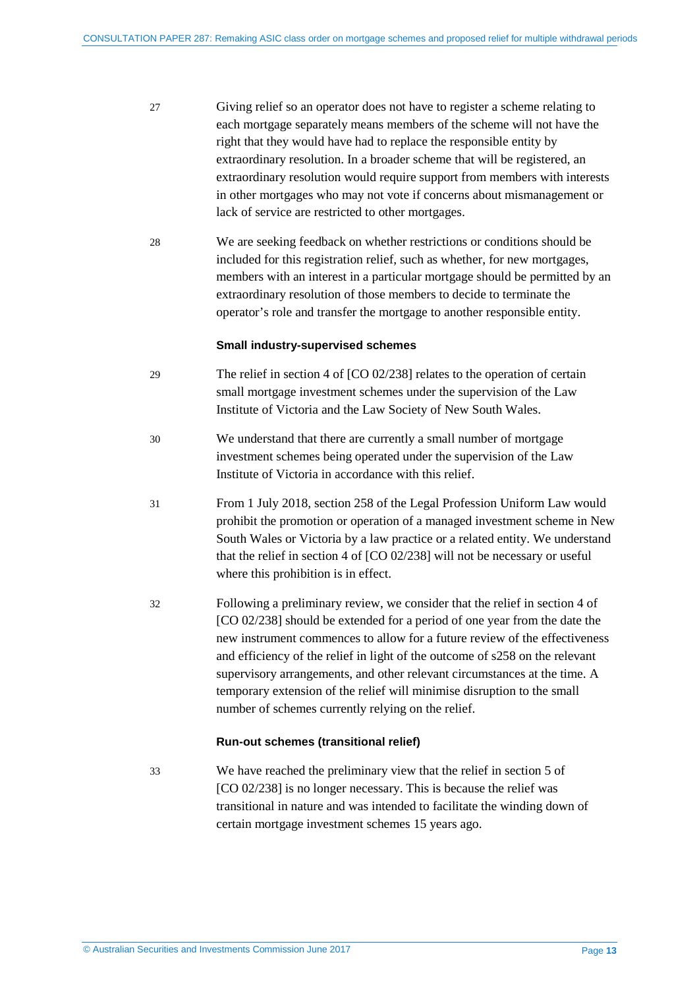- 27 Giving relief so an operator does not have to register a scheme relating to each mortgage separately means members of the scheme will not have the right that they would have had to replace the responsible entity by extraordinary resolution. In a broader scheme that will be registered, an extraordinary resolution would require support from members with interests in other mortgages who may not vote if concerns about mismanagement or lack of service are restricted to other mortgages.
- 28 We are seeking feedback on whether restrictions or conditions should be included for this registration relief, such as whether, for new mortgages, members with an interest in a particular mortgage should be permitted by an extraordinary resolution of those members to decide to terminate the operator's role and transfer the mortgage to another responsible entity.

#### **Small industry-supervised schemes**

- 29 The relief in section 4 of [CO 02/238] relates to the operation of certain small mortgage investment schemes under the supervision of the Law Institute of Victoria and the Law Society of New South Wales.
- 30 We understand that there are currently a small number of mortgage investment schemes being operated under the supervision of the Law Institute of Victoria in accordance with this relief.
- 31 From 1 July 2018, section 258 of the Legal Profession Uniform Law would prohibit the promotion or operation of a managed investment scheme in New South Wales or Victoria by a law practice or a related entity. We understand that the relief in section 4 of [CO 02/238] will not be necessary or useful where this prohibition is in effect.
- 32 Following a preliminary review, we consider that the relief in section 4 of [CO 02/238] should be extended for a period of one year from the date the new instrument commences to allow for a future review of the effectiveness and efficiency of the relief in light of the outcome of s258 on the relevant supervisory arrangements, and other relevant circumstances at the time. A temporary extension of the relief will minimise disruption to the small number of schemes currently relying on the relief.

#### **Run-out schemes (transitional relief)**

33 We have reached the preliminary view that the relief in section 5 of [CO 02/238] is no longer necessary. This is because the relief was transitional in nature and was intended to facilitate the winding down of certain mortgage investment schemes 15 years ago.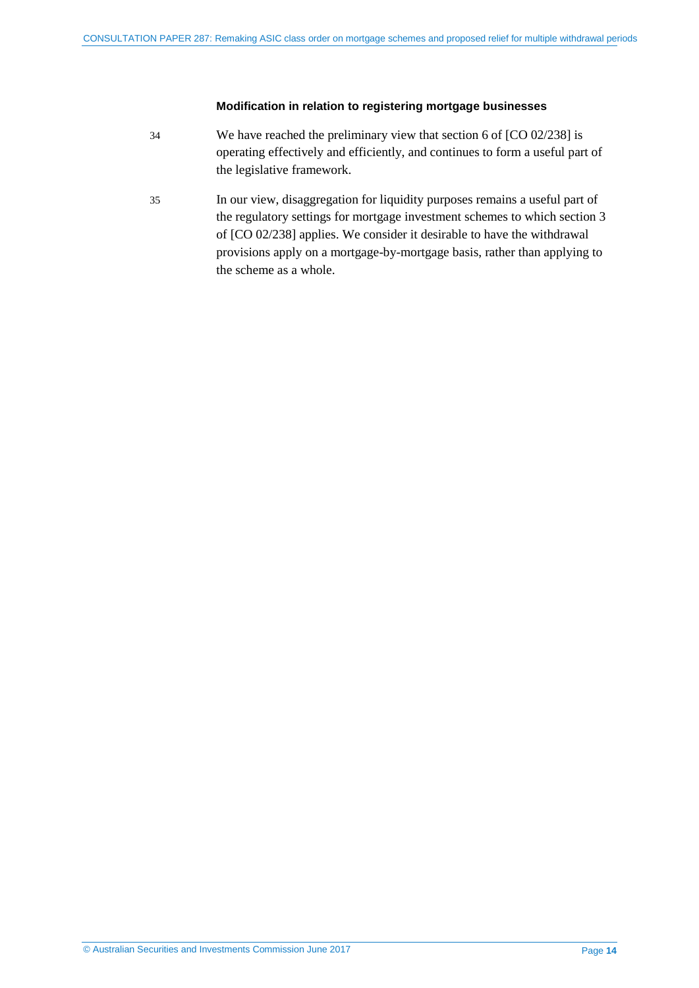#### **Modification in relation to registering mortgage businesses**

- 34 We have reached the preliminary view that section 6 of [CO 02/238] is operating effectively and efficiently, and continues to form a useful part of the legislative framework.
- 35 In our view, disaggregation for liquidity purposes remains a useful part of the regulatory settings for mortgage investment schemes to which section 3 of [CO 02/238] applies. We consider it desirable to have the withdrawal provisions apply on a mortgage-by-mortgage basis, rather than applying to the scheme as a whole.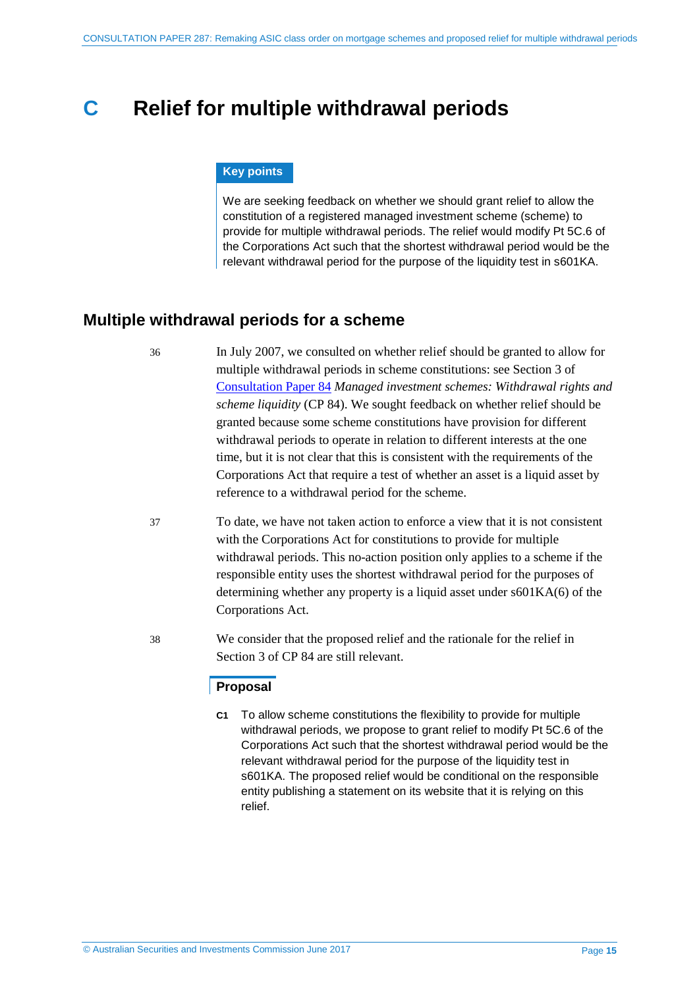## <span id="page-14-0"></span>**C Relief for multiple withdrawal periods**

#### **Key points**

We are seeking feedback on whether we should grant relief to allow the constitution of a registered managed investment scheme (scheme) to provide for multiple withdrawal periods. The relief would modify Pt 5C.6 of the Corporations Act such that the shortest withdrawal period would be the relevant withdrawal period for the purpose of the liquidity test in s601KA.

### <span id="page-14-1"></span>**Multiple withdrawal periods for a scheme**

36 In July 2007, we consulted on whether relief should be granted to allow for multiple withdrawal periods in scheme constitutions: see Section 3 of [Consultation Paper 84](http://asic.gov.au/regulatory-resources/find-a-document/consultation-papers/cp-84-managed-investment-schemes-withdrawal-rights-and-scheme-liquidity/) *Managed investment schemes: Withdrawal rights and scheme liquidity* (CP 84). We sought feedback on whether relief should be granted because some scheme constitutions have provision for different withdrawal periods to operate in relation to different interests at the one time, but it is not clear that this is consistent with the requirements of the Corporations Act that require a test of whether an asset is a liquid asset by reference to a withdrawal period for the scheme.

- 37 To date, we have not taken action to enforce a view that it is not consistent with the Corporations Act for constitutions to provide for multiple withdrawal periods. This no-action position only applies to a scheme if the responsible entity uses the shortest withdrawal period for the purposes of determining whether any property is a liquid asset under s601KA(6) of the Corporations Act.
- 38 We consider that the proposed relief and the rationale for the relief in Section 3 of CP 84 are still relevant.

#### **Proposal**

**C1** To allow scheme constitutions the flexibility to provide for multiple withdrawal periods, we propose to grant relief to modify Pt 5C.6 of the Corporations Act such that the shortest withdrawal period would be the relevant withdrawal period for the purpose of the liquidity test in s601KA. The proposed relief would be conditional on the responsible entity publishing a statement on its website that it is relying on this relief.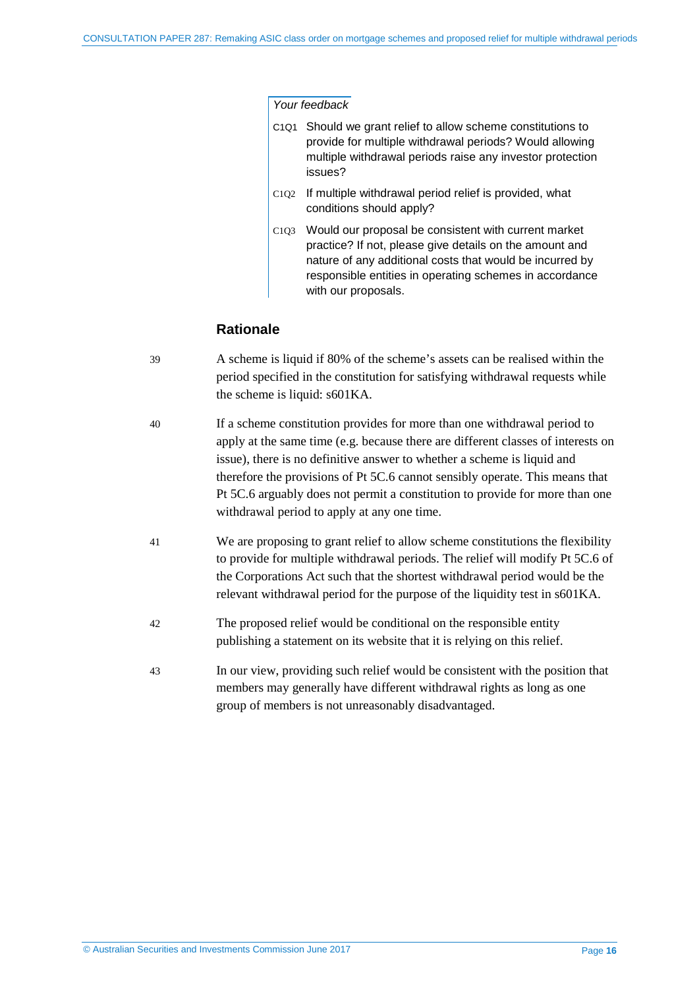#### *Your feedback*

- C1Q1 Should we grant relief to allow scheme constitutions to provide for multiple withdrawal periods? Would allowing multiple withdrawal periods raise any investor protection issues?
- C1Q2 If multiple withdrawal period relief is provided, what conditions should apply?
- C1Q3 Would our proposal be consistent with current market practice? If not, please give details on the amount and nature of any additional costs that would be incurred by responsible entities in operating schemes in accordance with our proposals.

#### **Rationale**

- 39 A scheme is liquid if 80% of the scheme's assets can be realised within the period specified in the constitution for satisfying withdrawal requests while the scheme is liquid: s601KA.
- 40 If a scheme constitution provides for more than one withdrawal period to apply at the same time (e.g. because there are different classes of interests on issue), there is no definitive answer to whether a scheme is liquid and therefore the provisions of Pt 5C.6 cannot sensibly operate. This means that Pt 5C.6 arguably does not permit a constitution to provide for more than one withdrawal period to apply at any one time.
- 41 We are proposing to grant relief to allow scheme constitutions the flexibility to provide for multiple withdrawal periods. The relief will modify Pt 5C.6 of the Corporations Act such that the shortest withdrawal period would be the relevant withdrawal period for the purpose of the liquidity test in s601KA.
- 42 The proposed relief would be conditional on the responsible entity publishing a statement on its website that it is relying on this relief.
- 43 In our view, providing such relief would be consistent with the position that members may generally have different withdrawal rights as long as one group of members is not unreasonably disadvantaged.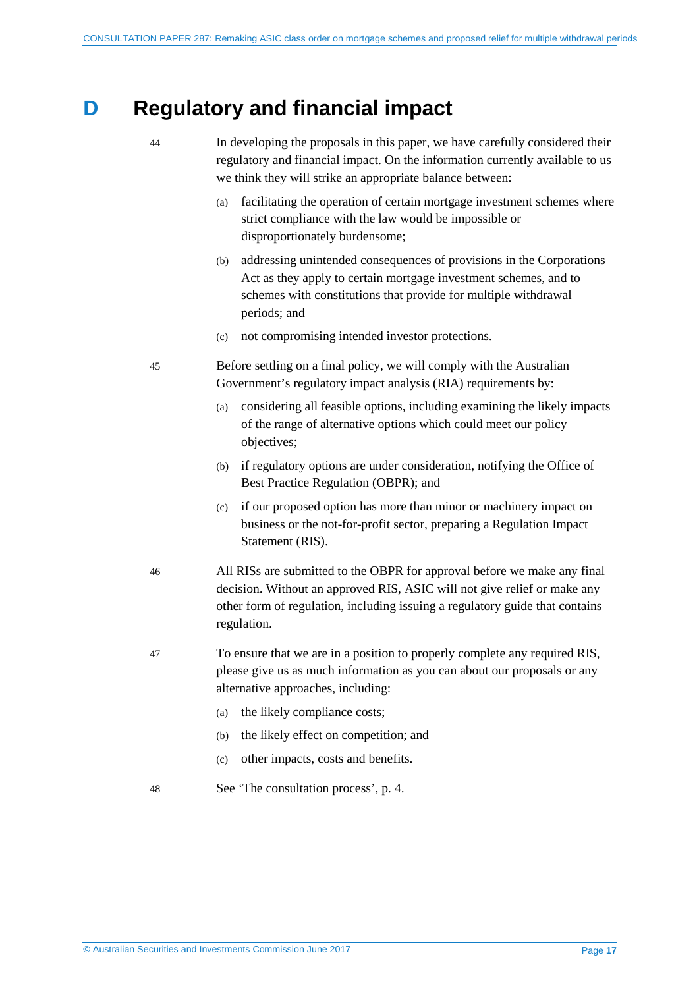## <span id="page-16-0"></span>**D Regulatory and financial impact**

44 In developing the proposals in this paper, we have carefully considered their regulatory and financial impact. On the information currently available to us we think they will strike an appropriate balance between:

- (a) facilitating the operation of certain mortgage investment schemes where strict compliance with the law would be impossible or disproportionately burdensome;
- (b) addressing unintended consequences of provisions in the Corporations Act as they apply to certain mortgage investment schemes, and to schemes with constitutions that provide for multiple withdrawal periods; and
- (c) not compromising intended investor protections.

45 Before settling on a final policy, we will comply with the Australian Government's regulatory impact analysis (RIA) requirements by:

- (a) considering all feasible options, including examining the likely impacts of the range of alternative options which could meet our policy objectives;
- (b) if regulatory options are under consideration, notifying the Office of Best Practice Regulation (OBPR); and
- (c) if our proposed option has more than minor or machinery impact on business or the not-for-profit sector, preparing a Regulation Impact Statement (RIS).
- 46 All RISs are submitted to the OBPR for approval before we make any final decision. Without an approved RIS, ASIC will not give relief or make any other form of regulation, including issuing a regulatory guide that contains regulation.
- 47 To ensure that we are in a position to properly complete any required RIS, please give us as much information as you can about our proposals or any alternative approaches, including:
	- (a) the likely compliance costs;
	- (b) the likely effect on competition; and
	- (c) other impacts, costs and benefits.
- 48 See 'The consultation process', p. [4.](#page-3-0)